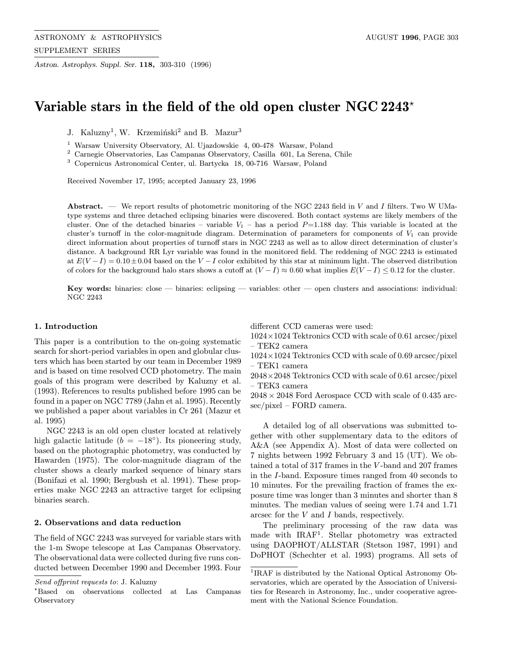Astron. Astrophys. Suppl. Ser. 118, 303-310 (1996)

# Variable stars in the field of the old open cluster NGC 2243 $^{\star}$

J. Kaluzny<sup>1</sup>, W. Krzemiński<sup>2</sup> and B. Mazur<sup>3</sup>

<sup>1</sup> Warsaw University Observatory, Al. Ujazdowskie 4, 00-478 Warsaw, Poland

<sup>2</sup> Carnegie Observatories, Las Campanas Observatory, Casilla 601, La Serena, Chile

<sup>3</sup> Copernicus Astronomical Center, ul. Bartycka 18, 00-716 Warsaw, Poland

Received November 17, 1995; accepted January 23, 1996

Abstract. — We report results of photometric monitoring of the NGC 2243 field in  $V$  and  $I$  filters. Two W UMatype systems and three detached eclipsing binaries were discovered. Both contact systems are likely members of the cluster. One of the detached binaries – variable  $V_1$  – has a period  $P=1.188$  day. This variable is located at the cluster's turnoff in the color-magnitude diagram. Determination of parameters for components of  $V_1$  can provide direct information about properties of turnoff stars in NGC 2243 as well as to allow direct determination of cluster's distance. A background RR Lyr variable was found in the monitored field. The reddening of NGC 2243 is estimated at  $E(V-I)=0.10\pm0.04$  based on the V − I color exhibited by this star at minimum light. The observed distribution of colors for the background halo stars shows a cutoff at  $(V - I) \approx 0.60$  what implies  $E(V - I) \leq 0.12$  for the cluster.

Key words: binaries:  $close$  — binaries: eclipsing — variables: other — open clusters and associations: individual: NGC 2243

## 1. Introduction

This paper is a contribution to the on-going systematic search for short-period variables in open and globular clusters which has been started by our team in December 1989 and is based on time resolved CCD photometry. The main goals of this program were described by Kaluzny et al. (1993). References to results published before 1995 can be found in a paper on NGC 7789 (Jahn et al. 1995). Recently we published a paper about variables in Cr 261 (Mazur et al. 1995)

NGC 2243 is an old open cluster located at relatively high galactic latitude ( $b = -18°$ ). Its pioneering study, based on the photographic photometry, was conducted by Hawarden (1975). The color-magnitude diagram of the cluster shows a clearly marked sequence of binary stars (Bonifazi et al. 1990; Bergbush et al. 1991). These properties make NGC 2243 an attractive target for eclipsing binaries search.

# 2. Observations and data reduction

The field of NGC 2243 was surveyed for variable stars with the 1-m Swope telescope at Las Campanas Observatory. The observational data were collected during five runs conducted between December 1990 and December 1993. Four different CCD cameras were used:

- 1024×1024 Tektronics CCD with scale of 0.61 arcsec/pixel – TEK2 camera
- 1024×1024 Tektronics CCD with scale of 0.69 arcsec/pixel – TEK1 camera
- 2048×2048 Tektronics CCD with scale of 0.61 arcsec/pixel – TEK3 camera

 $2048 \times 2048$  Ford Aerospace CCD with scale of 0.435 arcsec/pixel – FORD camera.

A detailed log of all observations was submitted together with other supplementary data to the editors of A&A (see Appendix A). Most of data were collected on 7 nights between 1992 February 3 and 15 (UT). We obtained a total of 317 frames in the V -band and 207 frames in the I-band. Exposure times ranged from 40 seconds to 10 minutes. For the prevailing fraction of frames the exposure time was longer than 3 minutes and shorter than 8 minutes. The median values of seeing were 1.74 and 1.71 arcsec for the V and I bands, respectively.

The preliminary processing of the raw data was made with IRAF<sup>1</sup>. Stellar photometry was extracted using DAOPHOT/ALLSTAR (Stetson 1987, 1991) and DoPHOT (Schechter et al. 1993) programs. All sets of

Send offprint requests to: J. Kaluzny

<sup>?</sup>Based on observations collected at Las Campanas Observatory

<sup>1</sup>IRAF is distributed by the National Optical Astronomy Observatories, which are operated by the Association of Universities for Research in Astronomy, Inc., under cooperative agreement with the National Science Foundation.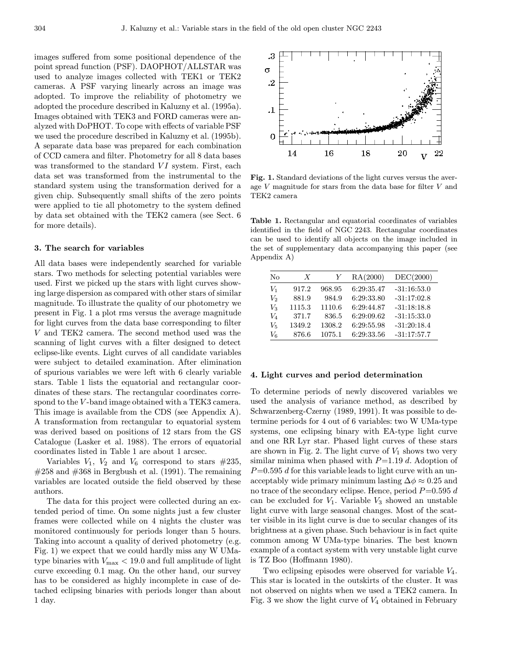images suffered from some positional dependence of the point spread function (PSF). DAOPHOT/ALLSTAR was used to analyze images collected with TEK1 or TEK2 cameras. A PSF varying linearly across an image was adopted. To improve the reliability of photometry we adopted the procedure described in Kaluzny et al. (1995a). Images obtained with TEK3 and FORD cameras were analyzed with DoPHOT. To cope with effects of variable PSF we used the procedure described in Kaluzny et al. (1995b). A separate data base was prepared for each combination of CCD camera and filter. Photometry for all 8 data bases was transformed to the standard  $VI$  system. First, each data set was transformed from the instrumental to the standard system using the transformation derived for a given chip. Subsequently small shifts of the zero points were applied to tie all photometry to the system defined by data set obtained with the TEK2 camera (see Sect. 6 for more details).

#### 3. The search for variables

All data bases were independently searched for variable stars. Two methods for selecting potential variables were used. First we picked up the stars with light curves showing large dispersion as compared with other stars of similar magnitude. To illustrate the quality of our photometry we present in Fig. 1 a plot rms versus the average magnitude for light curves from the data base corresponding to filter V and TEK2 camera. The second method used was the scanning of light curves with a filter designed to detect eclipse-like events. Light curves of all candidate variables were subject to detailed examination. After elimination of spurious variables we were left with 6 clearly variable stars. Table 1 lists the equatorial and rectangular coordinates of these stars. The rectangular coordinates correspond to the V-band image obtained with a TEK3 camera. This image is available from the CDS (see Appendix A). A transformation from rectangular to equatorial system was derived based on positions of 12 stars from the GS Catalogue (Lasker et al. 1988). The errors of equatorial coordinates listed in Table 1 are about 1 arcsec.

Variables  $V_1$ ,  $V_2$  and  $V_6$  correspond to stars  $\#235$ ,  $\#258$  and  $\#368$  in Bergbush et al. (1991). The remaining variables are located outside the field observed by these authors.

The data for this project were collected during an extended period of time. On some nights just a few cluster frames were collected while on 4 nights the cluster was monitored continuously for periods longer than 5 hours. Taking into account a quality of derived photometry (e.g. Fig. 1) we expect that we could hardly miss any W UMatype binaries with  $V_{\text{max}} < 19.0$  and full amplitude of light curve exceeding 0.1 mag. On the other hand, our survey has to be considered as highly incomplete in case of detached eclipsing binaries with periods longer than about 1 day.



Fig. 1. Standard deviations of the light curves versus the average V magnitude for stars from the data base for filter V and TEK2 camera

Table 1. Rectangular and equatorial coordinates of variables identified in the field of NGC 2243. Rectangular coordinates can be used to identify all objects on the image included in the set of supplementary data accompanying this paper (see Appendix A)

| No               | $\boldsymbol{X}$ | Y      | RA(2000)   | DEC(2000)     |
|------------------|------------------|--------|------------|---------------|
| Vı               | 917.2            | 968.95 | 6:29:35.47 | $-31:16:53.0$ |
| $V_2$            | 881.9            | 984.9  | 6:29:33.80 | $-31:17:02.8$ |
| $\mathit{V}_{3}$ | 1115.3           | 1110.6 | 6:29:44.87 | $-31:18:18.8$ |
| V4               | 371.7            | 836.5  | 6:29:09.62 | $-31:15:33.0$ |
| V5               | 1349.2           | 1308.2 | 6:29:55.98 | $-31:20:18.4$ |
| $V_{6}$          | 876.6            | 1075.1 | 6:29:33.56 | $-31:17:57.7$ |

#### 4. Light curves and period determination

To determine periods of newly discovered variables we used the analysis of variance method, as described by Schwarzenberg-Czerny (1989, 1991). It was possible to determine periods for 4 out of 6 variables: two W UMa-type systems, one eclipsing binary with EA-type light curve and one RR Lyr star. Phased light curves of these stars are shown in Fig. 2. The light curve of  $V_1$  shows two very similar minima when phased with  $P=1.19$  d. Adoption of  $P=0.595$  d for this variable leads to light curve with an unacceptably wide primary minimum lasting  $\Delta \phi \approx 0.25$  and no trace of the secondary eclipse. Hence, period  $P=0.595 d$ can be excluded for  $V_1$ . Variable  $V_3$  showed an unstable light curve with large seasonal changes. Most of the scatter visible in its light curve is due to secular changes of its brightness at a given phase. Such behaviour is in fact quite common among W UMa-type binaries. The best known example of a contact system with very unstable light curve is TZ Boo (Hoffmann 1980).

Two eclipsing episodes were observed for variable  $V_4$ . This star is located in the outskirts of the cluster. It was not observed on nights when we used a TEK2 camera. In Fig. 3 we show the light curve of  $V_4$  obtained in February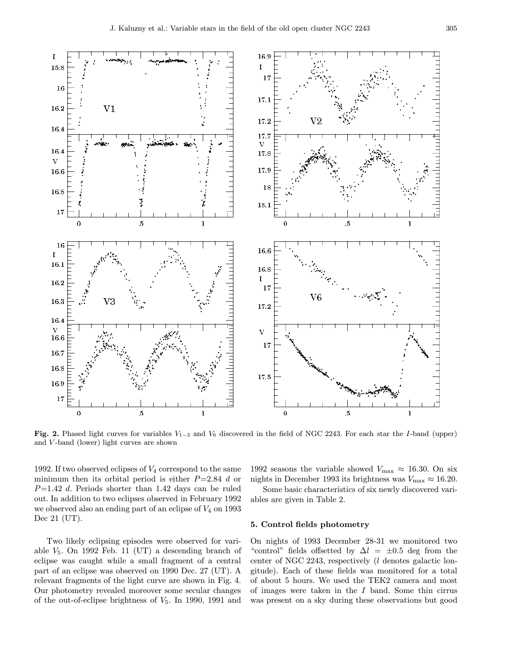

Fig. 2. Phased light curves for variables  $V_{1-3}$  and  $V_6$  discovered in the field of NGC 2243. For each star the I-band (upper) and V -band (lower) light curves are shown

1992. If two observed eclipses of  $V_4$  correspond to the same minimum then its orbital period is either  $P=2.84$  d or  $P=1.42$  d. Periods shorter than 1.42 days can be ruled out. In addition to two eclipses observed in February 1992 we observed also an ending part of an eclipse of  $V_4$  on 1993 Dec 21 (UT).

Two likely eclipsing episodes were observed for variable  $V_5$ . On 1992 Feb. 11 (UT) a descending branch of eclipse was caught while a small fragment of a central part of an eclipse was observed on 1990 Dec. 27 (UT). A relevant fragments of the light curve are shown in Fig. 4. Our photometry revealed moreover some secular changes of the out-of-eclipse brightness of  $V_5$ . In 1990, 1991 and 1992 seasons the variable showed  $V_{\text{max}} \approx 16.30$ . On six nights in December 1993 its brightness was  $V_{\text{max}} \approx 16.20$ .

Some basic characteristics of six newly discovered variables are given in Table 2.

# 5. Control fields photometry

On nights of 1993 December 28-31 we monitored two "control" fields offsetted by  $\Delta l = \pm 0.5$  deg from the center of NGC 2243, respectively (l denotes galactic longitude). Each of these fields was monitored for a total of about 5 hours. We used the TEK2 camera and most of images were taken in the  $I$  band. Some thin cirrus was present on a sky during these observations but good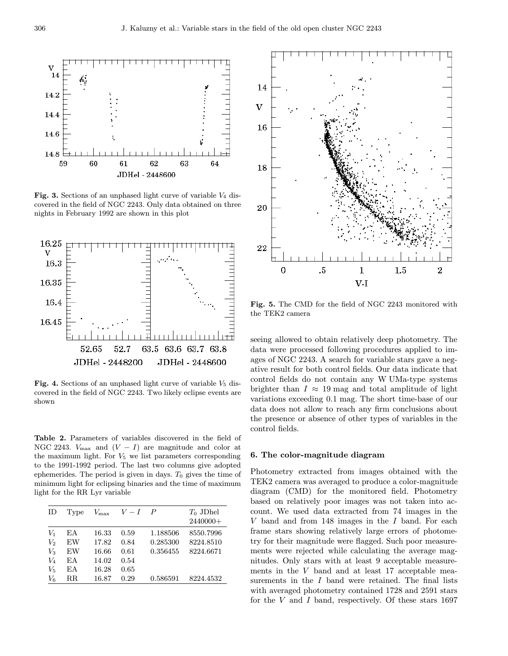

Fig. 3. Sections of an unphased light curve of variable  $V_4$  discovered in the field of NGC 2243. Only data obtained on three nights in February 1992 are shown in this plot



Fig. 4. Sections of an unphased light curve of variable  $V_5$  discovered in the field of NGC 2243. Two likely eclipse events are shown

Table 2. Parameters of variables discovered in the field of NGC 2243.  $V_{\text{max}}$  and  $(V - I)$  are magnitude and color at the maximum light. For  $V_5$  we list parameters corresponding to the 1991-1992 period. The last two columns give adopted ephemerides. The period is given in days.  $T_0$  gives the time of minimum light for eclipsing binaries and the time of maximum light for the RR Lyr variable

| ID    | Type        | $V_{\rm max}$ | $V-I$ | $\overline{P}$ | $T_0$ JDhel |
|-------|-------------|---------------|-------|----------------|-------------|
|       |             |               |       |                | 2440000+    |
| $V_1$ | ЕA          | 16.33         | 0.59  | 1.188506       | 8550.7996   |
| $V_2$ | EW          | 17.82         | 0.84  | 0.285300       | 8224.8510   |
| $V_3$ | EW          | 16.66         | 0.61  | 0.356455       | 8224.6671   |
| $V_4$ | ЕA          | 14.02         | 0.54  |                |             |
| $V_5$ | ΕA          | 16.28         | 0.65  |                |             |
| $V_6$ | $_{\rm RR}$ | 16.87         | 0.29  | 0.586591       | 8224.4532   |



Fig. 5. The CMD for the field of NGC 2243 monitored with the TEK2 camera

seeing allowed to obtain relatively deep photometry. The data were processed following procedures applied to images of NGC 2243. A search for variable stars gave a negative result for both control fields. Our data indicate that control fields do not contain any W UMa-type systems brighter than  $I \approx 19$  mag and total amplitude of light variations exceeding 0.1 mag. The short time-base of our data does not allow to reach any firm conclusions about the presence or absence of other types of variables in the control fields.

# 6. The color-magnitude diagram

Photometry extracted from images obtained with the TEK2 camera was averaged to produce a color-magnitude diagram (CMD) for the monitored field. Photometry based on relatively poor images was not taken into account. We used data extracted from 74 images in the  $V$  band and from 148 images in the  $I$  band. For each frame stars showing relatively large errors of photometry for their magnitude were flagged. Such poor measurements were rejected while calculating the average magnitudes. Only stars with at least 9 acceptable measurements in the V band and at least 17 acceptable measurements in the I band were retained. The final lists with averaged photometry contained 1728 and 2591 stars for the  $V$  and  $I$  band, respectively. Of these stars 1697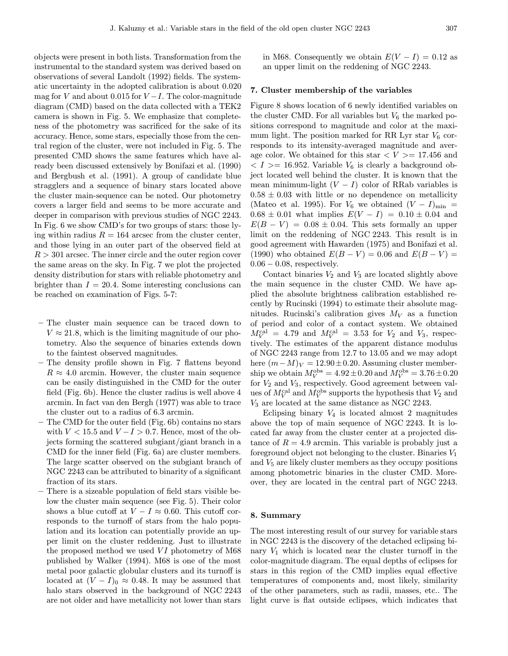objects were present in both lists. Transformation from the instrumental to the standard system was derived based on observations of several Landolt (1992) fields. The systematic uncertainty in the adopted calibration is about 0.020 mag for V and about 0.015 for  $V-I$ . The color-magnitude diagram (CMD) based on the data collected with a TEK2 camera is shown in Fig. 5. We emphasize that completeness of the photometry was sacrificed for the sake of its accuracy. Hence, some stars, especially those from the central region of the cluster, were not included in Fig. 5. The presented CMD shows the same features which have already been discussed extensively by Bonifazi et al. (1990) and Bergbush et al. (1991). A group of candidate blue stragglers and a sequence of binary stars located above the cluster main-sequence can be noted. Our photometry covers a larger field and seems to be more accurate and deeper in comparison with previous studies of NGC 2243. In Fig. 6 we show CMD's for two groups of stars: those lying within radius  $R = 164$  arcsec from the cluster center, and those lying in an outer part of the observed field at  $R > 301$  arcsec. The inner circle and the outer region cover the same areas on the sky. In Fig. 7 we plot the projected density distribution for stars with reliable photometry and brighter than  $I = 20.4$ . Some interesting conclusions can be reached on examination of Figs. 5-7:

- The cluster main sequence can be traced down to  $V \approx 21.8$ , which is the limiting magnitude of our photometry. Also the sequence of binaries extends down to the faintest observed magnitudes.
- The density profile shown in Fig. 7 flattens beyond  $R \approx 4.0$  arcmin. However, the cluster main sequence can be easily distinguished in the CMD for the outer field (Fig. 6b). Hence the cluster radius is well above 4 arcmin. In fact van den Bergh (1977) was able to trace the cluster out to a radius of 6.3 arcmin.
- The CMD for the outer field (Fig. 6b) contains no stars with  $V < 15.5$  and  $V - I > 0.7$ . Hence, most of the objects forming the scattered subgiant/giant branch in a CMD for the inner field (Fig. 6a) are cluster members. The large scatter observed on the subgiant branch of NGC 2243 can be attributed to binarity of a significant fraction of its stars.
- There is a sizeable population of field stars visible below the cluster main sequence (see Fig. 5). Their color shows a blue cutoff at  $V - I \approx 0.60$ . This cutoff corresponds to the turnoff of stars from the halo population and its location can potentially provide an upper limit on the cluster reddening. Just to illustrate the proposed method we used  $VI$  photometry of  $M68$ published by Walker (1994). M68 is one of the most metal poor galactic globular clusters and its turnoff is located at  $(V - I)_0 \approx 0.48$ . It may be assumed that halo stars observed in the background of NGC 2243 are not older and have metallicity not lower than stars

in M68. Consequently we obtain  $E(V - I) = 0.12$  as an upper limit on the reddening of NGC 2243.

# 7. Cluster membership of the variables

Figure 8 shows location of 6 newly identified variables on the cluster CMD. For all variables but  $V_6$  the marked positions correspond to magnitude and color at the maximum light. The position marked for RR Lyr star  $V_6$  corresponds to its intensity-averaged magnitude and average color. We obtained for this star  $\langle V \rangle = 17.456$  and  $\langle I \rangle = 16.952$ . Variable  $V_6$  is clearly a background object located well behind the cluster. It is known that the mean minimum-light  $(V - I)$  color of RRab variables is  $0.58 \pm 0.03$  with little or no dependence on metallicity (Mateo et al. 1995). For  $V_6$  we obtained  $(V - I)_{\text{min}} =$  $0.68 \pm 0.01$  what implies  $E(V - I) = 0.10 \pm 0.04$  and  $E(B - V) = 0.08 \pm 0.04$ . This sets formally an upper limit on the reddening of NGC 2243. This result is in good agreement with Hawarden (1975) and Bonifazi et al. (1990) who obtained  $E(B - V) = 0.06$  and  $E(B - V) =$  $0.06 - 0.08$ , respectively.

Contact binaries  $V_2$  and  $V_3$  are located slightly above the main sequence in the cluster CMD. We have applied the absolute brightness calibration established recently by Rucinski (1994) to estimate their absolute magnitudes. Rucinski's calibration gives  $M_V$  as a function of period and color of a contact system. We obtained  $M_V^{\text{cal}} = 4.79$  and  $M_V^{\text{cal}} = 3.53$  for  $V_2$  and  $V_3$ , respectively. The estimates of the apparent distance modulus of NGC 2243 range from 12.7 to 13.05 and we may adopt here  $(m-M)_V = 12.90 \pm 0.20$ . Assuming cluster membership we obtain  $M_V^{\text{obs}} = 4.92 \pm 0.20$  and  $M_V^{\text{obs}} = 3.76 \pm 0.20$ for  $V_2$  and  $V_3$ , respectively. Good agreement between values of  $M_V^{\text{cal}}$  and  $M_V^{\text{obs}}$  supports the hypothesis that  $V_2$  and V<sup>3</sup> are located at the same distance as NGC 2243.

Eclipsing binary  $V_4$  is located almost 2 magnitudes above the top of main sequence of NGC 2243. It is located far away from the cluster center at a projected distance of  $R = 4.9$  arcmin. This variable is probably just a foreground object not belonging to the cluster. Binaries  $V_1$ and  $V_5$  are likely cluster members as they occupy positions among photometric binaries in the cluster CMD. Moreover, they are located in the central part of NGC 2243.

#### 8. Summary

The most interesting result of our survey for variable stars in NGC 2243 is the discovery of the detached eclipsing binary  $V_1$  which is located near the cluster turnoff in the color-magnitude diagram. The equal depths of eclipses for stars in this region of the CMD implies equal effective temperatures of components and, most likely, similarity of the other parameters, such as radii, masses, etc.. The light curve is flat outside eclipses, which indicates that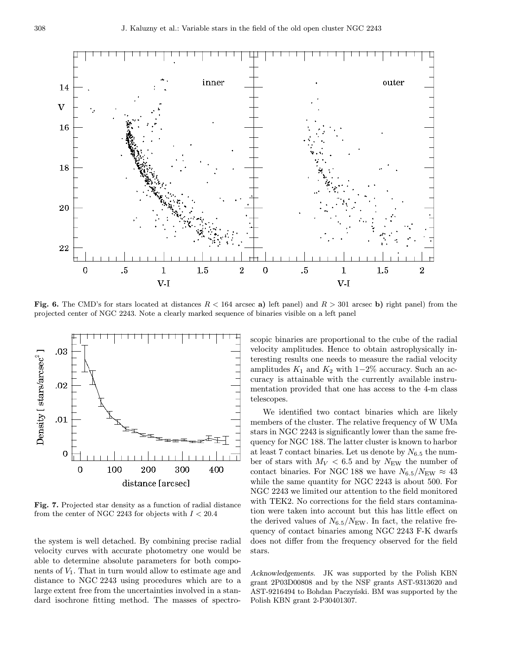

Fig. 6. The CMD's for stars located at distances  $R < 164$  arcsec a) left panel) and  $R > 301$  arcsec b) right panel) from the projected center of NGC 2243. Note a clearly marked sequence of binaries visible on a left panel



Fig. 7. Projected star density as a function of radial distance from the center of NGC 2243 for objects with  $I < 20.4$ 

the system is well detached. By combining precise radial velocity curves with accurate photometry one would be able to determine absolute parameters for both components of  $V_1$ . That in turn would allow to estimate age and distance to NGC 2243 using procedures which are to a large extent free from the uncertainties involved in a standard isochrone fitting method. The masses of spectroscopic binaries are proportional to the cube of the radial velocity amplitudes. Hence to obtain astrophysically interesting results one needs to measure the radial velocity amplitudes  $K_1$  and  $K_2$  with 1−2% accuracy. Such an accuracy is attainable with the currently available instrumentation provided that one has access to the 4-m class telescopes.

We identified two contact binaries which are likely members of the cluster. The relative frequency of W UMa stars in NGC 2243 is significantly lower than the same frequency for NGC 188. The latter cluster is known to harbor at least 7 contact binaries. Let us denote by  $N_{6.5}$  the number of stars with  $M_V < 6.5$  and by  $N_{\text{EW}}$  the number of contact binaries. For NGC 188 we have  $N_{6.5}/N_{\text{EW}} \approx 43$ while the same quantity for NGC 2243 is about 500. For NGC 2243 we limited our attention to the field monitored with TEK2. No corrections for the field stars contamination were taken into account but this has little effect on the derived values of  $N_{6.5}/N_{\text{EW}}$ . In fact, the relative frequency of contact binaries among NGC 2243 F-K dwarfs does not differ from the frequency observed for the field stars.

Acknowledgements. JK was supported by the Polish KBN grant 2P03D00808 and by the NSF grants AST-9313620 and AST-9216494 to Bohdan Paczyński. BM was supported by the Polish KBN grant 2-P30401307.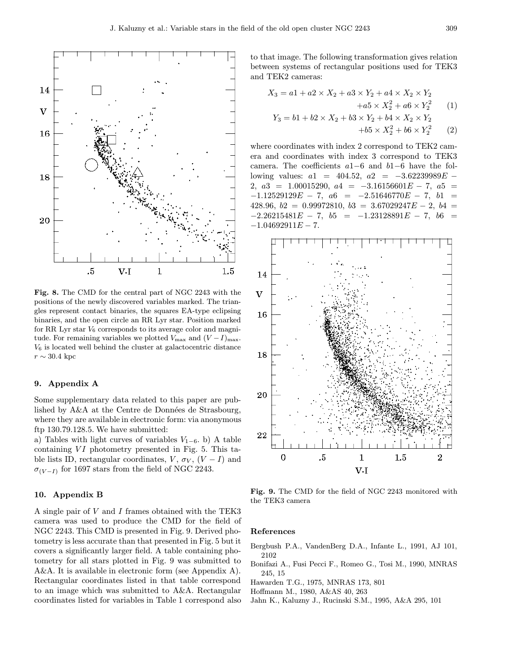

Fig. 8. The CMD for the central part of NGC 2243 with the positions of the newly discovered variables marked. The triangles represent contact binaries, the squares EA-type eclipsing binaries, and the open circle an RR Lyr star. Position marked for RR Lyr star  $V_6$  corresponds to its average color and magnitude. For remaining variables we plotted  $V_{\text{max}}$  and  $(V-I)_{\text{max}}$ .  $V<sub>6</sub>$  is located well behind the cluster at galactocentric distance  $r \sim 30.4~{\rm kpc}$ 

## 9. Appendix A

Some supplementary data related to this paper are published by  $A\&A$  at the Centre de Données de Strasbourg, where they are available in electronic form: via anonymous ftp 130.79.128.5. We have submitted:

a) Tables with light curves of variables  $V_{1-6}$ . b) A table containing  $VI$  photometry presented in Fig. 5. This table lists ID, rectangular coordinates,  $V$ ,  $\sigma_V$ ,  $(V - I)$  and  $\sigma_{(V-I)}$  for 1697 stars from the field of NGC 2243.

## 10. Appendix B

A single pair of V and I frames obtained with the TEK3 camera was used to produce the CMD for the field of NGC 2243. This CMD is presented in Fig. 9. Derived photometry is less accurate than that presented in Fig. 5 but it covers a significantly larger field. A table containing photometry for all stars plotted in Fig. 9 was submitted to A&A. It is available in electronic form (see Appendix A). Rectangular coordinates listed in that table correspond to an image which was submitted to A&A. Rectangular coordinates listed for variables in Table 1 correspond also to that image. The following transformation gives relation between systems of rectangular positions used for TEK3 and TEK2 cameras:

$$
X_3 = a1 + a2 \times X_2 + a3 \times Y_2 + a4 \times X_2 \times Y_2
$$
  
+
$$
a5 \times X_2^2 + a6 \times Y_2^2
$$
(1)  

$$
Y_3 = b1 + b2 \times X_2 + b3 \times Y_2 + b4 \times X_2 \times Y_2
$$
  
+
$$
b5 \times X_2^2 + b6 \times Y_2^2
$$
(2)

where coordinates with index 2 correspond to TEK2 camera and coordinates with index 3 correspond to TEK3 camera. The coefficients a1−6 and b1−6 have the following values:  $a1 = 404.52$ ,  $a2 = -3.62239989E -$ 2,  $a3 = 1.00015290$ ,  $a4 = -3.16156601E - 7$ ,  $a5 =$  $-1.12529129E - 7, a6 = -2.51646770E - 7, b1 =$ 428.96,  $b2 = 0.99972810$ ,  $b3 = 3.67029247E - 2$ ,  $b4 =$  $-2.26215481E - 7$ ,  $b5 = -1.23128891E - 7$ ,  $b6 =$  $-1.04692911E - 7.$ 



Fig. 9. The CMD for the field of NGC 2243 monitored with the TEK3 camera

#### References

- Bergbush P.A., VandenBerg D.A., Infante L., 1991, AJ 101, 2102
- Bonifazi A., Fusi Pecci F., Romeo G., Tosi M., 1990, MNRAS 245, 15
- Hawarden T.G., 1975, MNRAS 173, 801
- Hoffmann M., 1980, A&AS 40, 263
- Jahn K., Kaluzny J., Rucinski S.M., 1995, A&A 295, 101